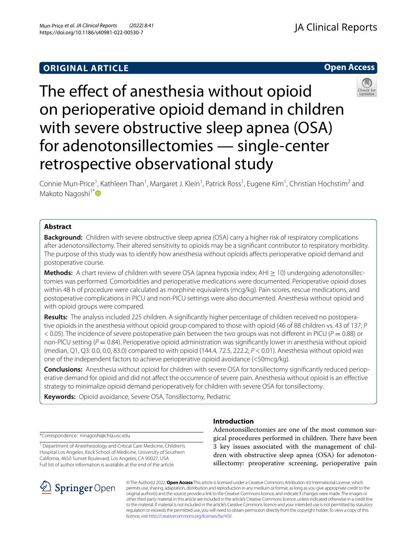# **ORIGINAL ARTICLE**



# The effect of anesthesia without opioid on perioperative opioid demand in children with severe obstructive sleep apnea (OSA) for adenotonsillectomies — single-center retrospective observational study



Connie Mun-Price<sup>1</sup>, Kathleen Than<sup>1</sup>, Margaret J. Klein<sup>1</sup>, Patrick Ross<sup>1</sup>, Eugene Kim<sup>1</sup>, Christian Hochstim<sup>2</sup> and Makoto Nagoshi<sup>1\*</sup>

# **Abstract**

**Background:** Children with severe obstructive sleep apnea (OSA) carry a higher risk of respiratory complications after adenotonsillectomy. Their altered sensitivity to opioids may be a signifcant contributor to respiratory morbidity. The purpose of this study was to identify how anesthesia without opioids afects perioperative opioid demand and postoperative course.

**Methods:** A chart review of children with severe OSA (apnea hypoxia index; AHI > 10) undergoing adenotonsillectomies was performed. Comorbidities and perioperative medications were documented. Perioperative opioid doses within 48 h of procedure were calculated as morphine equivalents (mcg/kg). Pain scores, rescue medications, and postoperative complications in PICU and non-PICU settings were also documented. Anesthesia without opioid and with opioid groups were compared.

Results: The analysis included 225 children. A significantly higher percentage of children received no postoperative opioids in the anesthesia without opioid group compared to those with opioid (46 of 88 children vs. 43 of 137; *P*  $<$  0.05). The incidence of severe postoperative pain between the two groups was not different in PICU ( $P = 0.88$ ) or non-PICU setting ( $P = 0.84$ ). Perioperative opioid administration was significantly lower in anesthesia without opioid (median, Q1, Q3: 0.0, 0.0, 83.0) compared to with opioid (144.4, 72.5, 222.2; *P* < 0.01). Anesthesia without opioid was one of the independent factors to achieve perioperative opioid avoidance (<50mcg/kg).

**Conclusions:** Anesthesia without opioid for children with severe OSA for tonsillectomy signifcantly reduced periop‑ erative demand for opioid and did not afect the occurrence of severe pain. Anesthesia without opioid is an efective strategy to minimalize opioid demand perioperatively for children with severe OSA for tonsillectomy.

**Keywords:** Opioid avoidance, Severe OSA, Tonsillectomy, Pediatric

# **Introduction**

\*Correspondence: mnagoshi@chla.usc.edu

<sup>1</sup> Department of Anesthesiology and Critical Care Medicine, Children's Hospital Los Angeles, Keck School of Medicine, University of Southern California, 4650 Sunset Boulevard, Los Angeles, CA 90027, USA Full list of author information is available at the end of the article



Adenotonsillectomies are one of the most common surgical procedures performed in children. There have been 3 key issues associated with the management of children with obstructive sleep apnea (OSA) for adenotonsillectomy: preoperative screening, perioperative pain

© The Author(s) 2022. **Open Access** This article is licensed under a Creative Commons Attribution 4.0 International License, which permits use, sharing, adaptation, distribution and reproduction in any medium or format, as long as you give appropriate credit to the original author(s) and the source, provide a link to the Creative Commons licence, and indicate if changes were made. The images or other third party material in this article are included in the article's Creative Commons licence, unless indicated otherwise in a credit line to the material. If material is not included in the article's Creative Commons licence and your intended use is not permitted by statutory regulation or exceeds the permitted use, you will need to obtain permission directly from the copyright holder. To view a copy of this licence, visit [http://creativecommons.org/licenses/by/4.0/.](http://creativecommons.org/licenses/by/4.0/)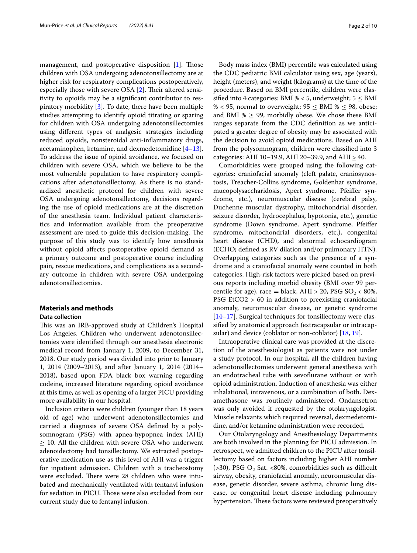management, and postoperative disposition [[1\]](#page-8-0). Those children with OSA undergoing adenotonsillectomy are at higher risk for respiratory complications postoperatively, especially those with severe OSA  $[2]$  $[2]$ . Their altered sensitivity to opioids may be a signifcant contributor to respiratory morbidity [\[3\]](#page-8-2). To date, there have been multiple studies attempting to identify opioid titrating or sparing for children with OSA undergoing adenotonsillectomies using diferent types of analgesic strategies including reduced opioids, nonsteroidal anti-infammatory drugs, acetaminophen, ketamine, and dexmedetomidine  $[4-13]$  $[4-13]$ . To address the issue of opioid avoidance, we focused on children with severe OSA, which we believe to be the most vulnerable population to have respiratory complications after adenotonsillectomy. As there is no standardized anesthetic protocol for children with severe OSA undergoing adenotonsillectomy, decisions regarding the use of opioid medications are at the discretion of the anesthesia team. Individual patient characteristics and information available from the preoperative assessment are used to guide this decision-making. The purpose of this study was to identify how anesthesia without opioid afects postoperative opioid demand as a primary outcome and postoperative course including pain, rescue medications, and complications as a secondary outcome in children with severe OSA undergoing adenotonsillectomies.

# **Materials and methods**

## **Data collection**

This was an IRB-approved study at Children's Hospital Los Angeles. Children who underwent adenotonsillectomies were identifed through our anesthesia electronic medical record from January 1, 2009, to December 31, 2018. Our study period was divided into prior to January 1, 2014 (2009–2013), and after January 1, 2014 (2014– 2018), based upon FDA black box warning regarding codeine, increased literature regarding opioid avoidance at this time, as well as opening of a larger PICU providing more availability in our hospital.

Inclusion criteria were children (younger than 18 years old of age) who underwent adenotonsillectomies and carried a diagnosis of severe OSA defned by a polysomnogram (PSG) with apnea-hypopnea index (AHI)  $\geq$  10. All the children with severe OSA who underwent adenoidectomy had tonsillectomy. We extracted postoperative medication use as this level of AHI was a trigger for inpatient admission. Children with a tracheostomy were excluded. There were 28 children who were intubated and mechanically ventilated with fentanyl infusion for sedation in PICU. Those were also excluded from our current study due to fentanyl infusion.

Body mass index (BMI) percentile was calculated using the CDC pediatric BMI calculator using sex, age (years), height (meters), and weight (kilograms) at the time of the procedure. Based on BMI percentile, children were classified into 4 categories: BMI % < 5, underweight;  $5 \leq$  BMI % < 95, normal to overweight;  $95 \leq BMI$  %  $\leq$  98, obese; and BMI  $\% \geq 99$ , morbidly obese. We chose these BMI ranges separate from the CDC defnition as we anticipated a greater degree of obesity may be associated with the decision to avoid opioid medications. Based on AHI from the polysomnogram, children were classifed into 3 categories: AHI 10–19.9, AHI 20–39.9, and AHI  $\geq$  40.

Comorbidities were grouped using the following categories: craniofacial anomaly (cleft palate, craniosynostosis, Treacher-Collins syndrome, Goldenhar syndrome, mucopolysaccharidosis, Apert syndrome, Pfeifer syndrome, etc.), neuromuscular disease (cerebral palsy, Duchenne muscular dystrophy, mitochondrial disorder, seizure disorder, hydrocephalus, hypotonia, etc.), genetic syndrome (Down syndrome, Apert syndrome, Pfeifer syndrome, mitochondrial disorders, etc.), congenital heart disease (CHD), and abnormal echocardiogram (ECHO; defned as RV dilation and/or pulmonary HTN). Overlapping categories such as the presence of a syndrome and a craniofacial anomaly were counted in both categories. High-risk factors were picked based on previous reports including morbid obesity (BMI over 99 percentile for age), race = black, AHI > 20, PSG  $SO_2$  < 80%, PSG EtCO2 > 60 in addition to preexisting craniofacial anomaly, neuromuscular disease, or genetic syndrome [[14–](#page-8-5)[17\]](#page-8-6). Surgical techniques for tonsillectomy were classifed by anatomical approach (extracapsular or intracapsular) and device (coblator or non-coblator) [\[18](#page-8-7), [19\]](#page-9-0).

Intraoperative clinical care was provided at the discretion of the anesthesiologist as patients were not under a study protocol. In our hospital, all the children having adenotonsillectomies underwent general anesthesia with an endotracheal tube with sevofurane without or with opioid administration. Induction of anesthesia was either inhalational, intravenous, or a combination of both. Dexamethasone was routinely administered. Ondansetron was only avoided if requested by the otolaryngologist. Muscle relaxants which required reversal, dexmedetomidine, and/or ketamine administration were recorded.

Our Otolaryngology and Anesthesiology Departments are both involved in the planning for PICU admission. In retrospect, we admitted children to the PICU after tonsillectomy based on factors including higher AHI number ( $>30$ ), PSG O<sub>2</sub> Sat. <80%, comorbidities such as difficult airway, obesity, craniofacial anomaly, neuromuscular disease, genetic disorder, severe asthma, chronic lung disease, or congenital heart disease including pulmonary hypertension. These factors were reviewed preoperatively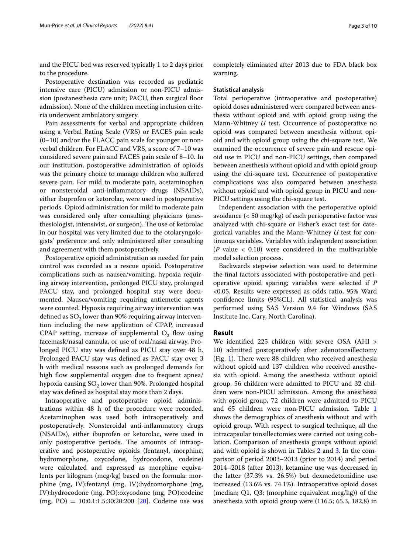and the PICU bed was reserved typically 1 to 2 days prior to the procedure.

Postoperative destination was recorded as pediatric intensive care (PICU) admission or non-PICU admission (postanesthesia care unit; PACU, then surgical floor admission). None of the children meeting inclusion criteria underwent ambulatory surgery.

Pain assessments for verbal and appropriate children using a Verbal Rating Scale (VRS) or FACES pain scale (0–10) and/or the FLACC pain scale for younger or nonverbal children. For FLACC and VRS, a score of 7–10 was considered severe pain and FACES pain scale of 8–10. In our institution, postoperative administration of opioids was the primary choice to manage children who sufered severe pain. For mild to moderate pain, acetaminophen or nonsteroidal anti-infammatory drugs (NSAIDs), either ibuprofen or ketorolac, were used in postoperative periods. Opioid administration for mild to moderate pain was considered only after consulting physicians (anesthesiologist, intensivist, or surgeon). The use of ketorolac in our hospital was very limited due to the otolaryngologists' preference and only administered after consulting and agreement with them postoperatively.

Postoperative opioid administration as needed for pain control was recorded as a rescue opioid. Postoperative complications such as nausea/vomiting, hypoxia requiring airway intervention, prolonged PICU stay, prolonged PACU stay, and prolonged hospital stay were documented. Nausea/vomiting requiring antiemetic agents were counted. Hypoxia requiring airway intervention was defined as  $SO_2$  lower than 90% requiring airway intervention including the new application of CPAP, increased CPAP setting, increase of supplemental  $O<sub>2</sub>$  flow using facemask/nasal cannula, or use of oral/nasal airway. Prolonged PICU stay was defned as PICU stay over 48 h. Prolonged PACU stay was defned as PACU stay over 3 h with medical reasons such as prolonged demands for high flow supplemental oxygen due to frequent apnea/ hypoxia causing  $SO_2$  lower than 90%. Prolonged hospital stay was defned as hospital stay more than 2 days.

Intraoperative and postoperative opioid administrations within 48 h of the procedure were recorded. Acetaminophen was used both intraoperatively and postoperatively. Nonsteroidal anti-infammatory drugs (NSAIDs), either ibuprofen or ketorolac, were used in only postoperative periods. The amounts of intraoperative and postoperative opioids (fentanyl, morphine, hydromorphone, oxycodone, hydrocodone, codeine) were calculated and expressed as morphine equivalents per kilogram (mcg/kg) based on the formula: morphine (mg, IV):fentanyl (mg, IV):hydromorphone (mg, IV):hydrocodone (mg, PO):oxycodone (mg, PO):codeine  $(mg, PO) = 10:0.1:1.5:30:20:200$  [\[20](#page-9-1)]. Codeine use was completely eliminated after 2013 due to FDA black box warning.

# **Statistical analysis**

Total perioperative (intraoperative and postoperative) opioid doses administered were compared between anesthesia without opioid and with opioid group using the Mann-Whitney *U* test. Occurrence of postoperative no opioid was compared between anesthesia without opioid and with opioid group using the chi-square test. We examined the occurrence of severe pain and rescue opioid use in PICU and non-PICU settings, then compared between anesthesia without opioid and with opioid group using the chi-square test. Occurrence of postoperative complications was also compared between anesthesia without opioid and with opioid group in PICU and non-PICU settings using the chi-square test.

Independent association with the perioperative opioid avoidance (< 50 mcg/kg) of each perioperative factor was analyzed with chi-square or Fisher's exact test for categorical variables and the Mann-Whitney *U* test for continuous variables. Variables with independent association (*P* value < 0.10) were considered in the multivariable model selection process.

Backwards stepwise selection was used to determine the fnal factors associated with postoperative and perioperative opioid sparing; variables were selected if *P* <0.05. Results were expressed as odds ratio, 95% Ward confdence limits (95%CL). All statistical analysis was performed using SAS Version 9.4 for Windows (SAS Institute Inc, Cary, North Carolina).

## **Result**

We identified 225 children with severe OSA (AHI  $\geq$ 10) admitted postoperatively after adenotonsillectomy (Fig. [1\)](#page-3-0). There were 88 children who received anesthesia without opioid and 137 children who received anesthesia with opioid. Among the anesthesia without opioid group, 56 children were admitted to PICU and 32 children were non-PICU admission. Among the anesthesia with opioid group, 72 children were admitted to PICU and 65 children were non-PICU admission. Table [1](#page-4-0) shows the demographics of anesthesia without and with opioid group. With respect to surgical technique, all the intracapsular tonsillectomies were carried out using coblation. Comparison of anesthesia groups without opioid and with opioid is shown in Tables [2](#page-5-0) and [3](#page-6-0). In the comparison of period 2003–2013 (prior to 2014) and period 2014–2018 (after 2013), ketamine use was decreased in the latter (37.3% vs. 26.5%) but dexmedetomidine use increased (13.6% vs. 74.1%). Intraoperative opioid doses (median; Q1, Q3; (morphine equivalent mcg/kg)) of the anesthesia with opioid group were (116.5; 65.3, 182.8) in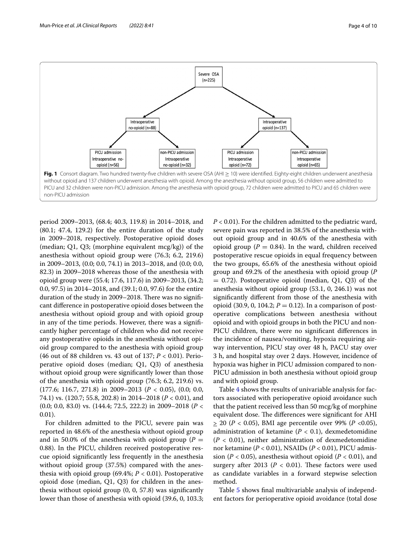

<span id="page-3-0"></span>period 2009–2013, (68.4; 40.3, 119.8) in 2014–2018, and (80.1; 47.4, 129.2) for the entire duration of the study in 2009–2018, respectively. Postoperative opioid doses (median; Q1, Q3; (morphine equivalent mcg/kg)) of the anesthesia without opioid group were (76.3; 6.2, 219.6) in 2009–2013, (0.0; 0.0, 74.1) in 2013–2018, and (0.0; 0.0, 82.3) in 2009–2018 whereas those of the anesthesia with opioid group were (55.4; 17.6, 117.6) in 2009–2013, (34.2; 0.0, 97.5) in 2014–2018, and (39.1; 0.0, 97.6) for the entire duration of the study in 2009–2018. There was no significant diference in postoperative opioid doses between the anesthesia without opioid group and with opioid group in any of the time periods. However, there was a signifcantly higher percentage of children who did not receive any postoperative opioids in the anesthesia without opioid group compared to the anesthesia with opioid group (46 out of 88 children vs. 43 out of 137; *P* < 0.01). Perioperative opioid doses (median; Q1, Q3) of anesthesia without opioid group were signifcantly lower than those of the anesthesia with opioid group (76.3; 6.2, 219.6) vs. (177.6; 116.7, 271.8) in 2009–2013 (*P* < 0.05), (0.0; 0.0, 74.1) vs. (120.7; 55.8, 202.8) in 2014–2018 (*P* < 0.01), and (0.0; 0.0, 83.0) vs. (144.4; 72.5, 222.2) in 2009–2018 (*P* < 0.01).

For children admitted to the PICU, severe pain was reported in 48.6% of the anesthesia without opioid group and in 50.0% of the anesthesia with opioid group ( $P =$ 0.88). In the PICU, children received postoperative rescue opioid signifcantly less frequently in the anesthesia without opioid group (37.5%) compared with the anesthesia with opioid group (69.4%;  $P < 0.01$ ). Postoperative opioid dose (median, Q1, Q3) for children in the anesthesia without opioid group (0, 0, 57.8) was signifcantly lower than those of anesthesia with opioid (39.6, 0, 103.3; *P* < 0.01). For the children admitted to the pediatric ward, severe pain was reported in 38.5% of the anesthesia without opioid group and in 40.6% of the anesthesia with opioid group ( $P = 0.84$ ). In the ward, children received postoperative rescue opioids in equal frequency between the two groups, 65.6% of the anesthesia without opioid group and 69.2% of the anesthesia with opioid group (*P*  $= 0.72$ ). Postoperative opioid (median, Q1, Q3) of the anesthesia without opioid group (53.1, 0, 246.1) was not signifcantly diferent from those of the anesthesia with opioid (30.9, 0, 104.2;  $P = 0.12$ ). In a comparison of postoperative complications between anesthesia without opioid and with opioid groups in both the PICU and non-PICU children, there were no signifcant diferences in the incidence of nausea/vomiting, hypoxia requiring airway intervention, PICU stay over 48 h, PACU stay over 3 h, and hospital stay over 2 days. However, incidence of hypoxia was higher in PICU admission compared to non-PICU admission in both anesthesia without opioid group and with opioid group.

Table [4](#page-6-1) shows the results of univariable analysis for factors associated with perioperative opioid avoidance such that the patient received less than 50 mcg/kg of morphine equivalent dose. The differences were significant for AHI > 20 (*P* < 0.05), BMI age percentile over 99% (*P* <0.05), administration of ketamine  $(P < 0.1)$ , dexmedetomidine  $(P < 0.01)$ , neither administration of dexmedetomidine nor ketamine (*P* < 0.01), NSAIDs (*P* < 0.01), PICU admission ( $P < 0.05$ ), anesthesia without opioid ( $P < 0.01$ ), and surgery after 2013 ( $P < 0.01$ ). These factors were used as candidate variables in a forward stepwise selection method.

Table [5](#page-7-0) shows fnal multivariable analysis of independent factors for perioperative opioid avoidance (total dose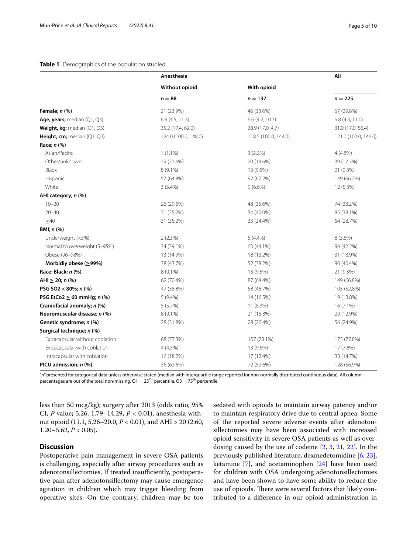# <span id="page-4-0"></span>**Table 1** Demographics of the population studied

|                                 | Anesthesia            |                      | All                  |  |
|---------------------------------|-----------------------|----------------------|----------------------|--|
|                                 | <b>Without opioid</b> | With opioid          |                      |  |
|                                 | $n = 88$              | $n = 137$            | $n = 225$            |  |
| Female; $n$ $%$                 | 21 (23.9%)            | 46 (33.6%)           | 67 (29.8%)           |  |
| Age, years; median $(Q1, Q3)$   | 6.9(4.5, 11.3)        | $6.6$ (4.2, 10.7)    | 6.8(4.3, 11.0)       |  |
| Weight, kg; median (Q1, Q3)     | 35.2 (17.4, 62.0)     | 28.9 (17.0, 4.7)     | 31.0 (17.0, 56.4)    |  |
| Height, cm; median $(Q1, Q3)$   | 124.0 (100.0, 148.0)  | 118.5 (100.0, 144.0) | 121.0 (100.0, 146.0) |  |
| Race; <i>n</i> (%)              |                       |                      |                      |  |
| Asian/Pacific                   | $1(1.1\%)$            | $3(2.2\%)$           | $4(4.8\%)$           |  |
| Other/unknown                   | 19 (21.6%)            | 20 (14.6%)           | 39 (17.3%)           |  |
| Black                           | 8 (9.1%)              | 13 (9.5%)            | 21 (9.3%)            |  |
| Hispanic                        | 57 (64.8%)            | 92 (67.2%)           | 149 (66.2%)          |  |
| White                           | 3(3.4%)               | $9(6.6\%)$           | 12 (5.3%)            |  |
| AHI category; n (%)             |                       |                      |                      |  |
| $10 - 20$                       | 26 (29.6%)            | 48 (35.6%)           | 74 (33.2%)           |  |
| $20 - 40$                       | 31 (35.2%)            | 54 (40.0%)           | 85 (38.1%)           |  |
| $\geq 40$                       | 31 (35.2%)            | 33 (24.4%)           | 64 (28.7%)           |  |
| BMI; n (%)                      |                       |                      |                      |  |
| Underweight (<5%)               | 2(2.3%)               | $6(4.4\%)$           | $8(3.6\%)$           |  |
| Normal to overweight (5-95%)    | 34 (39.1%)            | 60 (44.1%)           | 94 (42.2%)           |  |
| Obese (96-98%)                  | 13 (14.9%)            | 18 (13.2%)           | 31 (13.9%)           |  |
| Morbidly obese ( $\geq$ 99%)    | 38 (43.7%)            | 52 (38.2%)           | 90 (40.4%)           |  |
| Race: Black; n (%)              | 8 (9.1%)              | 13 (9.5%)            | 21 (9.3%)            |  |
| AHI $\geq$ 20; n (%)            | 62 (70.4%)            | 87 (64.4%)           | 149 (66.8%)          |  |
| PSG SO2 < 80%; $n$ (%)          | 47 (58.8%)            | 58 (48.7%)           | 105 (52.8%)          |  |
| PSG EtCo2 $\geq$ 60 mmHg; n (%) | $5(9.4\%)$            | 14 (16.5%)           | 19 (13.8%)           |  |
| Craniofacial anomaly; n (%)     | 5(5.7%)               | 11 (8.3%)            | $16(7.1\%)$          |  |
| Neuromuscular disease; n (%)    | 8 (9.1%)              | 21 (15.3%)           | 29 (12.9%)           |  |
| Genetic syndrome; n (%)         | 28 (31.8%)            | 28 (20.4%)           | 56 (24.9%)           |  |
| Surgical technique; n (%)       |                       |                      |                      |  |
| Extracapsular without coblation | 68 (77.3%)            | 107 (78.1%)          | 175 (77.8%)          |  |
| Extracapsular with coblation    | 4(4.5%)               | 13 (9.5%)            | 17 (7.6%)            |  |
| Intracapsular with coblation    | 16 (18.2%)            | 17 (12.4%)           | 33 (14.7%)           |  |
| PICU admission; n (%)           | 56 (63.6%)            | 72 (52.6%)           | 128 (56.9%)          |  |

"*n*" presented for categorical data unless otherwise stated (median with interquartile range reported for non-normally distributed continuous data). All column percentages are out of the total non-missing.  $Q1 = 25^{Th}$  percentile,  $Q3 = 75^{th}$  percentile

less than 50 mcg/kg); surgery after 2013 (odds ratio, 95% CI, *P* value; 5.26, 1.79–14.29, *P* < 0.01), anesthesia without opioid (11.1, 5.26–20.0,  $P < 0.01$ ), and AHI  $\geq 20$  (2.60, 1.20–5.62, *P* < 0.05).

# **Discussion**

Postoperative pain management in severe OSA patients is challenging, especially after airway procedures such as adenotonsillectomies. If treated insufficiently, postoperative pain after adenotonsillectomy may cause emergence agitation in children which may trigger bleeding from operative sites. On the contrary, children may be too sedated with opioids to maintain airway patency and/or to maintain respiratory drive due to central apnea. Some of the reported severe adverse events after adenotonsillectomies may have been associated with increased opioid sensitivity in severe OSA patients as well as overdosing caused by the use of codeine [\[2](#page-8-1), [3](#page-8-2), [21](#page-9-2), [22](#page-9-3)]. In the previously published literature, dexmedetomidine [[6,](#page-8-8) [23](#page-9-4)], ketamine [\[7](#page-8-9)], and acetaminophen [[24\]](#page-9-5) have been used for children with OSA undergoing adenotonsillectomies and have been shown to have some ability to reduce the use of opioids. There were several factors that likely contributed to a diference in our opioid administration in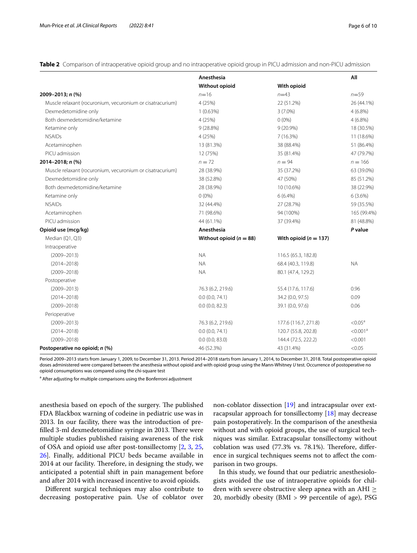<span id="page-5-0"></span>**Table 2** Comparison of intraoperative opioid group and no intraoperative opioid group in PICU admission and non-PICU admission

|                                                           | Anesthesia                  |                           | All                  |
|-----------------------------------------------------------|-----------------------------|---------------------------|----------------------|
|                                                           | <b>Without opioid</b>       | With opioid               |                      |
| 2009-2013; n (%)                                          | $n=16$                      | $n = 43$                  | $n = 59$             |
| Muscle relaxant (rocuronium, vecuronium or cisatracurium) | 4 (25%)                     | 22 (51.2%)                | 26 (44.1%)           |
| Dexmedetomidine only                                      | 1(0.63%)                    | $3(7.0\%)$                | $4(6.8\%)$           |
| Both dexmedetomidine/ketamine                             | 4 (25%)                     | $0(0\%)$                  | $4(6.8\%)$           |
| Ketamine only                                             | 9(28.8%)                    | $9(20.9\%)$               | 18 (30.5%)           |
| <b>NSAIDs</b>                                             | 4(25%)                      | 7(16.3%)                  | 11 (18.6%)           |
| Acetaminophen                                             | 13 (81.3%)                  | 38 (88.4%)                | 51 (86.4%)           |
| PICU admission                                            | 12 (75%)                    | 35 (81.4%)                | 47 (79.7%)           |
| 2014-2018; n (%)                                          | $n = 72$                    | $n = 94$                  | $n = 166$            |
| Muscle relaxant (rocuronium, vecuronium or cisatracurium) | 28 (38.9%)                  | 35 (37.2%)                | 63 (39.0%)           |
| Dexmedetomidine only                                      | 38 (52.8%)                  | 47 (50%)                  | 85 (51.2%)           |
| Both dexmedetomidine/ketamine                             | 28 (38.9%)                  | 10 (10.6%)                | 38 (22.9%)           |
| Ketamine only                                             | $0(0\%)$                    | $6(6.4\%)$                | $6(3.6\%)$           |
| <b>NSAIDs</b>                                             | 32 (44.4%)                  | 27 (28.7%)                | 59 (35.5%)           |
| Acetaminophen                                             | 71 (98.6%)                  | 94 (100%)                 | 165 (99.4%)          |
| PICU admission                                            | 44 (61.1%)                  | 37 (39.4%)                | 81 (48.8%)           |
| Opioid use (mcg/kg)                                       | Anesthesia                  |                           | P value              |
| Median (Q1, Q3)                                           | Without opioid ( $n = 88$ ) | With opioid ( $n = 137$ ) |                      |
| Intraoperative                                            |                             |                           |                      |
| $(2009 - 2013)$                                           | <b>NA</b>                   | 116.5 (65.3, 182.8)       |                      |
| $(2014 - 2018)$                                           | <b>NA</b>                   | 68.4 (40.3, 119.8)        | <b>NA</b>            |
| $(2009 - 2018)$                                           | <b>NA</b>                   | 80.1 (47.4, 129.2)        |                      |
| Postoperative                                             |                             |                           |                      |
| $(2009 - 2013)$                                           | 76.3 (6.2, 219.6)           | 55.4 (17.6, 117.6)        | 0.96                 |
| $(2014 - 2018)$                                           | 0.0(0.0, 74.1)              | 34.2 (0.0, 97.5)          | 0.09                 |
| $(2009 - 2018)$                                           | 0.0(0.0, 82.3)              | 39.1 (0.0, 97.6)          | 0.06                 |
| Perioperative                                             |                             |                           |                      |
| $(2009 - 2013)$                                           | 76.3 (6.2, 219.6)           | 177.6 (116.7, 271.8)      | $< 0.05^a$           |
| $(2014 - 2018)$                                           | 0.0(0.0, 74.1)              | 120.7 (55.8, 202.8)       | < 0.001 <sup>a</sup> |
| $(2009 - 2018)$                                           | 0.0(0.0, 83.0)              | 144.4 (72.5, 222.2)       | < 0.001              |
| Postoperative no opioid; n (%)                            | 46 (52.3%)                  | 43 (31.4%)                | < 0.05               |

Period 2009–2013 starts from January 1, 2009, to December 31, 2013. Period 2014–2018 starts from January 1, 2014, to December 31, 2018. Total postoperative opioid doses administered were compared between the anesthesia without opioid and with opioid group using the Mann-Whitney *U* test. Occurrence of postoperative no opioid consumptions was compared using the chi-square test

<sup>a</sup> After adjusting for multiple comparisons using the Bonferroni adjustment

anesthesia based on epoch of the surgery. The published FDA Blackbox warning of codeine in pediatric use was in 2013. In our facility, there was the introduction of prefilled 3-ml dexmedetomidine syringe in 2013. There were multiple studies published raising awareness of the risk of OSA and opioid use after post-tonsillectomy [\[2](#page-8-1), [3](#page-8-2), [25](#page-9-6), [26\]](#page-9-7). Finally, additional PICU beds became available in 2014 at our facility. Therefore, in designing the study, we anticipated a potential shift in pain management before and after 2014 with increased incentive to avoid opioids.

Diferent surgical techniques may also contribute to decreasing postoperative pain. Use of coblator over non-coblator dissection [\[19](#page-9-0)] and intracapsular over extracapsular approach for tonsillectomy [\[18](#page-8-7)] may decrease pain postoperatively. In the comparison of the anesthesia without and with opioid groups, the use of surgical techniques was similar. Extracapsular tonsillectomy without coblation was used  $(77.3\% \text{ vs. } 78.1\%)$ . Therefore, difference in surgical techniques seems not to afect the comparison in two groups.

In this study, we found that our pediatric anesthesiologists avoided the use of intraoperative opioids for children with severe obstructive sleep apnea with an AHI  $\geq$ 20, morbidly obesity (BMI > 99 percentile of age), PSG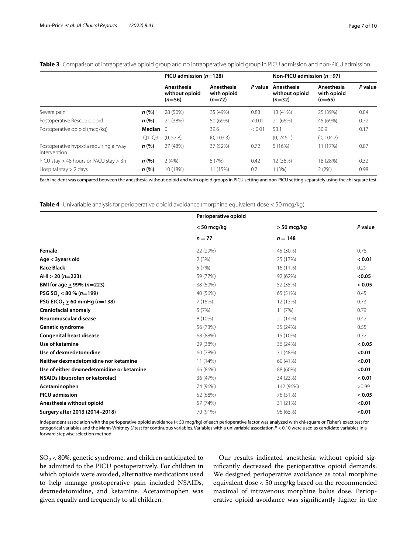|                                                        |            | PICU admission $(n=128)$                 |                                       | Non-PICU admission $(n=97)$ |                                          |                                       |         |
|--------------------------------------------------------|------------|------------------------------------------|---------------------------------------|-----------------------------|------------------------------------------|---------------------------------------|---------|
|                                                        |            | Anesthesia<br>without opioid<br>$(n=56)$ | Anesthesia<br>with opioid<br>$(n=72)$ | P value                     | Anesthesia<br>without opioid<br>$(n=32)$ | Anesthesia<br>with opioid<br>$(n=65)$ | P value |
| Severe pain                                            | n(%)       | 28 (50%)                                 | 35 (49%)                              | 0.88                        | 13 (41%)                                 | 25 (39%)                              | 0.84    |
| Postoperative Rescue opioid                            | n(%)       | 21 (38%)                                 | 50 (69%)                              | < 0.01                      | 21 (66%)                                 | 45 (69%)                              | 0.72    |
| Postoperative opioid (mcg/kg)                          | Median $0$ |                                          | 39.6                                  | < 0.01                      | 53.1                                     | 30.9                                  | 0.17    |
|                                                        | Q1, Q3     | (0, 57.8)                                | (0, 103.3)                            |                             | (0, 246.1)                               | (0, 104.2)                            |         |
| Postoperative hypoxia requiring airway<br>intervention | n(%)       | 27 (48%)                                 | 37 (52%)                              | 0.72                        | 5(16%)                                   | 11 (17%)                              | 0.87    |
| PICU stay > 48 hours or PACU stay > 3h                 | n(%)       | 2(4%)                                    | 5(7%)                                 | 0.42                        | 12 (38%)                                 | 18 (28%)                              | 0.32    |
| Hospital stay $> 2$ days                               | n(%)       | 10 (18%)                                 | 11 (15%)                              | 0.7                         | 1(3%)                                    | 2(2%)                                 | 0.98    |

<span id="page-6-0"></span>**Table 3** Comparison of intraoperative opioid group and no intraoperative opioid group in PICU admission and non-PICU admission

Each incident was compared between the anesthesia without opioid and with opioid groups in PICU setting and non-PICU setting separately using the chi-square test

<span id="page-6-1"></span>**Table 4** Univariable analysis for perioperative opioid avoidance (morphine equivalent dose < 50 mcg/kg)

|                                              | Perioperative opioid |               |         |  |
|----------------------------------------------|----------------------|---------------|---------|--|
|                                              | $<$ 50 mcg/kg        | $>$ 50 mcg/kg | P value |  |
|                                              | $n = 77$             | $n = 148$     |         |  |
| Female                                       | 22 (29%)             | 45 (30%)      | 0.78    |  |
| Age < 3years old                             | 2(3%)                | 25 (17%)      | < 0.01  |  |
| <b>Race Black</b>                            | 5(7%)                | 16 (11%)      | 0.29    |  |
| $AHI > 20 (n=223)$                           | 59 (77%)             | 92 (62%)      | < 0.05  |  |
| BMI for age $> 99\%$ (n=223)                 | 38 (50%)             | 52 (35%)      | < 0.05  |  |
| PSG SO <sub>2</sub> < 80 % ( $n=199$ )       | 40 (56%)             | 65 (51%)      | 0.45    |  |
| PSG EtCO <sub>2</sub> $\geq$ 60 mmHg (n=138) | 7(15%)               | 12 (13%)      | 0.73    |  |
| <b>Craniofacial anomaly</b>                  | 5(7%)                | 11(7%)        | 0.79    |  |
| Neuromuscular disease                        | 8 (10%)              | 21 (14%)      | 0.42    |  |
| Genetic syndrome                             | 56 (73%)             | 35 (24%)      | 0.55    |  |
| <b>Congenital heart disease</b>              | 68 (88%)             | 15 (10%)      | 0.72    |  |
| Use of ketamine                              | 29 (38%)             | 36 (24%)      | < 0.05  |  |
| Use of dexmedetomidine                       | 60 (78%)             | 71 (48%)      | < 0.01  |  |
| Neither dexmedetomidine nor ketamine         | 11 (14%)             | 60 (41%)      | < 0.01  |  |
| Use of either dexmedetomidine or ketamine    | 66 (86%)             | 88 (60%)      | < 0.01  |  |
| NSAIDs (ibuprofen or ketorolac)              | 36 (47%)             | 34 (23%)      | < 0.01  |  |
| Acetaminophen                                | 74 (96%)             | 142 (96%)     | >0.99   |  |
| <b>PICU</b> admission                        | 52 (68%)             | 76 (51%)      | < 0.05  |  |
| Anesthesia without opioid                    | 57 (74%)             | 31 (21%)      | < 0.01  |  |
| Surgery after 2013 (2014-2018)               | 70 (91%)             | 96 (65%)      | < 0.01  |  |
|                                              |                      |               |         |  |

Independent association with the perioperative opioid avoidance (< 50 mcg/kg) of each perioperative factor was analyzed with chi-square or Fisher's exact test for categorical variables and the Mann-Whitney *U* test for continuous variables. Variables with a univariable association  $P < 0.10$  were used as candidate variables in a forward stepwise selection method

 $SO<sub>2</sub>$  < 80%, genetic syndrome, and children anticipated to be admitted to the PICU postoperatively. For children in which opioids were avoided, alternative medications used to help manage postoperative pain included NSAIDs, dexmedetomidine, and ketamine. Acetaminophen was given equally and frequently to all children.

Our results indicated anesthesia without opioid signifcantly decreased the perioperative opioid demands. We designed perioperative avoidance as total morphine equivalent dose < 50 mcg/kg based on the recommended maximal of intravenous morphine bolus dose. Perioperative opioid avoidance was signifcantly higher in the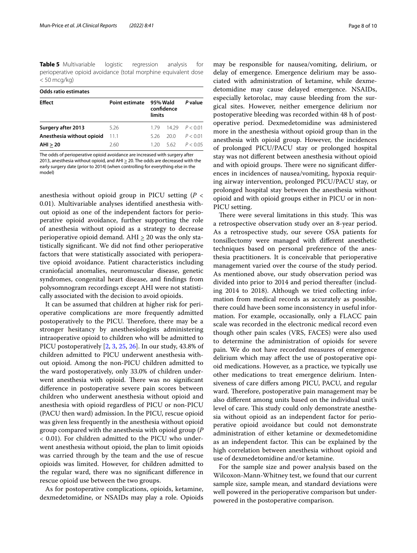<span id="page-7-0"></span>**Table 5** Multivariable logistic regression analysis for perioperative opioid avoidance (total morphine equivalent dose < 50 mcg/kg)

| <b>Odds ratio estimates</b> |                               |                                  |      |                   |  |  |
|-----------------------------|-------------------------------|----------------------------------|------|-------------------|--|--|
| <b>Effect</b>               | <b>Point estimate</b><br>5.26 | 95% Wald<br>confidence<br>limits |      | P value           |  |  |
| Surgery after 2013          |                               | 179                              |      | $1429$ $P < 0.01$ |  |  |
| Anesthesia without opioid   | 11.1                          | 526                              | 20 O | P < 0.01          |  |  |
| AHI > 20                    | 2.60                          | 1 20                             | 562  | P < 0.05          |  |  |

The odds of perioperative opioid avoidance are increased with surgery after 2013, anesthesia without opioid, and AHI  $>$  20. The odds are decreased with the early surgery date (prior to 2014) (when controlling for everything else in the model)

anesthesia without opioid group in PICU setting (*P* < 0.01). Multivariable analyses identifed anesthesia without opioid as one of the independent factors for perioperative opioid avoidance, further supporting the role of anesthesia without opioid as a strategy to decrease perioperative opioid demand. AHI > 20 was the only statistically signifcant. We did not fnd other perioperative factors that were statistically associated with perioperative opioid avoidance. Patient characteristics including craniofacial anomalies, neuromuscular disease, genetic syndromes, congenital heart disease, and fndings from polysomnogram recordings except AHI were not statistically associated with the decision to avoid opioids.

It can be assumed that children at higher risk for perioperative complications are more frequently admitted postoperatively to the PICU. Therefore, there may be a stronger hesitancy by anesthesiologists administering intraoperative opioid to children who will be admitted to PICU postoperatively [[2](#page-8-1), [3](#page-8-2), [25,](#page-9-6) [26](#page-9-7)]. In our study, 43.8% of children admitted to PICU underwent anesthesia without opioid. Among the non-PICU children admitted to the ward postoperatively, only 33.0% of children underwent anesthesia with opioid. There was no significant diference in postoperative severe pain scores between children who underwent anesthesia without opioid and anesthesia with opioid regardless of PICU or non-PICU (PACU then ward) admission. In the PICU, rescue opioid was given less frequently in the anesthesia without opioid group compared with the anesthesia with opioid group (*P* < 0.01). For children admitted to the PICU who underwent anesthesia without opioid, the plan to limit opioids was carried through by the team and the use of rescue opioids was limited. However, for children admitted to the regular ward, there was no signifcant diference in rescue opioid use between the two groups.

As for postoperative complications, opioids, ketamine, dexmedetomidine, or NSAIDs may play a role. Opioids may be responsible for nausea/vomiting, delirium, or delay of emergence. Emergence delirium may be associated with administration of ketamine, while dexmedetomidine may cause delayed emergence. NSAIDs, especially ketorolac, may cause bleeding from the surgical sites. However, neither emergence delirium nor postoperative bleeding was recorded within 48 h of postoperative period. Dexmedetomidine was administered more in the anesthesia without opioid group than in the anesthesia with opioid group. However, the incidences of prolonged PICU/PACU stay or prolonged hospital stay was not diferent between anesthesia without opioid and with opioid groups. There were no significant differences in incidences of nausea/vomiting, hypoxia requiring airway intervention, prolonged PICU/PACU stay, or prolonged hospital stay between the anesthesia without opioid and with opioid groups either in PICU or in non-PICU setting.

There were several limitations in this study. This was a retrospective observation study over an 8-year period. As a retrospective study, our severe OSA patients for tonsillectomy were managed with diferent anesthetic techniques based on personal preference of the anesthesia practitioners. It is conceivable that perioperative management varied over the course of the study period. As mentioned above, our study observation period was divided into prior to 2014 and period thereafter (including 2014 to 2018). Although we tried collecting information from medical records as accurately as possible, there could have been some inconsistency in useful information. For example, occasionally, only a FLACC pain scale was recorded in the electronic medical record even though other pain scales (VRS, FACES) were also used to determine the administration of opioids for severe pain. We do not have recorded measures of emergence delirium which may afect the use of postoperative opioid medications. However, as a practice, we typically use other medications to treat emergence delirium. Intensiveness of care difers among PICU, PACU, and regular ward. Therefore, postoperative pain management may be also diferent among units based on the individual unit's level of care. This study could only demonstrate anesthesia without opioid as an independent factor for perioperative opioid avoidance but could not demonstrate administration of either ketamine or dexmedetomidine as an independent factor. This can be explained by the high correlation between anesthesia without opioid and use of dexmedetomidine and/or ketamine.

For the sample size and power analysis based on the Wilcoxon-Mann-Whitney test, we found that our current sample size, sample mean, and standard deviations were well powered in the perioperative comparison but underpowered in the postoperative comparison.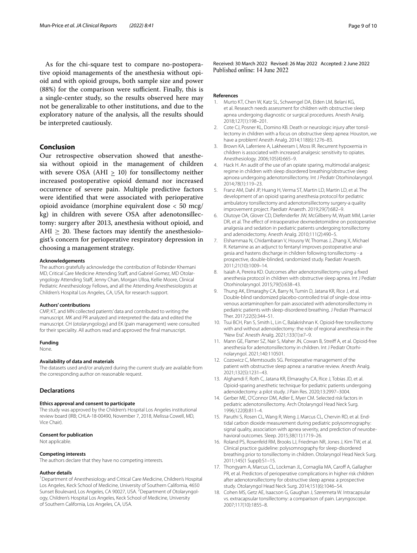As for the chi-square test to compare no-postoperative opioid managements of the anesthesia without opioid and with opioid groups, both sample size and power  $(88%)$  for the comparison were sufficient. Finally, this is a single-center study, so the results observed here may not be generalizable to other institutions, and due to the exploratory nature of the analysis, all the results should be interpreted cautiously.

## **Conclusion**

Our retrospective observation showed that anesthesia without opioid in the management of children with severe OSA (AHI  $\geq$  10) for tonsillectomy neither increased postoperative opioid demand nor increased occurrence of severe pain. Multiple predictive factors were identifed that were associated with perioperative opioid avoidance (morphine equivalent dose < 50 mcg/ kg) in children with severe OSA after adenotonsillectomy: surgery after 2013, anesthesia without opioid, and AHI  $\geq$  20. These factors may identify the anesthesiologist's concern for perioperative respiratory depression in choosing a management strategy.

#### **Acknowledgements**

The authors gratefully acknowledge the contribution of Robinder Khemani MD, Critical Care Medicine Attending Staff, and Gabriel Gomez, MD Otolaryngology Attending Staf, Jenny Chan, Morgan Ulloa, Kellie Moore, Clinical Pediatric Anesthesiology Fellows, and all the Attending Anesthesiologists at Children's Hospital Los Angeles, CA, USA, for research support.

#### **Authors' contributions**

CMP, KT, and MN collected patients' data and contributed to writing the manuscript. MK and PR analyzed and interpreted the data and edited the manuscript. CH (otolaryngology) and EK (pain management) were consulted for their speciality. All authors read and approved the fnal manuscript.

#### **Funding**

None.

## **Availability of data and materials**

The datasets used and/or analyzed during the current study are available from the corresponding author on reasonable request.

## **Declarations**

#### **Ethics approval and consent to participate**

The study was approved by the Children's Hospital Los Angeles institutional review board (IRB; CHLA-18-00490, November 7, 2018, Melissa Cowell, MD, Vice Chair).

#### **Consent for publication**

Not applicable.

## **Competing interests**

The authors declare that they have no competing interests.

#### **Author details**

<sup>1</sup> Department of Anesthesiology and Critical Care Medicine, Children's Hospital Los Angeles, Keck School of Medicine, University of Southern California, 4650 Sunset Boulevard, Los Angeles, CA 90027, USA. <sup>2</sup> Department of Otolaryngology, Children's Hospital Los Angeles, Keck School of Medicine, University of Southern California, Los Angeles, CA, USA.

Received: 30 March 2022 Revised: 26 May 2022 Accepted: 2 June 2022<br>Published online: 14 June 2022

#### **References**

- <span id="page-8-0"></span>1. Murto KT, Chen W, Katz SL, Schwengel DA, Elden LM, Belani KG, et al. Research needs assessment for children with obstructive sleep apnea undergoing diagnostic or surgical procedures. Anesth Analg. 2018;127(1):198–201.
- <span id="page-8-1"></span>2. Cote CJ, Posner KL, Domino KB. Death or neurologic injury after tonsillectomy in children with a focus on obstructive sleep apnea: Houston, we have a problem! Anesth Analg. 2014;118(6):1276–83.
- <span id="page-8-2"></span>3. Brown KA, Laferriere A, Lakheeram I, Moss IR. Recurrent hypoxemia in children is associated with increased analgesic sensitivity to opiates. Anesthesiology. 2006;105(4):665–9.
- <span id="page-8-3"></span>4. Hack H. An audit of the use of an opiate sparing, multimodal analgesic regime in children with sleep disordered breathing/obstructive sleep apnoea undergoing adenotonsillectomy. Int J Pediatr Otorhinolaryngol. 2014;78(1):119–23.
- 5. Franz AM, Dahl JP, Huang H, Verma ST, Martin LD, Martin LD, et al. The development of an opioid sparing anesthesia protocol for pediatric ambulatory tonsillectomy and adenotonsillectomy surgery-a quality improvement project. Paediatr Anaesth. 2019;29(7):682–9.
- <span id="page-8-8"></span>6. Olutoye OA, Glover CD, Diefenderfer JW, McGilberry M, Wyatt MM, Larrier DR, et al. The effect of intraoperative dexmedetomidine on postoperative analgesia and sedation in pediatric patients undergoing tonsillectomy and adenoidectomy. Anesth Analg. 2010;111(2):490–5.
- <span id="page-8-9"></span>7. Elshammaa N, Chidambaran V, Housny W, Thomas J, Zhang X, Michael R. Ketamine as an adjunct to fentanyl improves postoperative analgesia and hastens discharge in children following tonsillectomy - a prospective, double-blinded, randomized study. Paediatr Anaesth. 2011;21(10):1009–14.
- 8. Isaiah A, Pereira KD. Outcomes after adenotonsillectomy using a fxed anesthesia protocol in children with obstructive sleep apnea. Int J Pediatr Otorhinolaryngol. 2015;79(5):638–43.
- 9. Thung AK, Elmaraghy CA, Barry N, Tumin D, Jatana KR, Rice J, et al. Double-blind randomized placebo-controlled trial of single-dose intravenous acetaminophen for pain associated with adenotonsillectomy in pediatric patients with sleep-disordered breathing. J Pediatr Pharmacol Ther. 2017;22(5):344–51.
- 10. Tsui BCH, Pan S, Smith L, Lin C, Balakrishnan K. Opioid-free tonsillectomy with and without adenoidectomy: the role of regional anesthesia in the "New Era". Anesth Analg. 2021;133(1):e7–9.
- 11. Mann GE, Flamer SZ, Nair S, Maher JN, Cowan B, Streif A, et al. Opioid-free anesthesia for adenotonsillectomy in children. Int J Pediatr Otorhinolaryngol. 2021;140:110501.
- 12. Cozowicz C, Memtsoudis SG. Perioperative management of the patient with obstructive sleep apnea: a narrative review. Anesth Analg. 2021;132(5):1231–43.
- <span id="page-8-4"></span>13. Alghamdi F, Roth C, Jatana KR, Elmaraghy CA, Rice J, Tobias JD, et al. Opioid-sparing anesthetic technique for pediatric patients undergoing adenoidectomy: a pilot study. J Pain Res. 2020;13:2997–3004.
- <span id="page-8-5"></span>14. Gerber ME, O'Connor DM, Adler E, Myer CM. Selected risk factors in pediatric adenotonsillectomy. Arch Otolaryngol Head Neck Surg. 1996;122(8):811–4.
- 15. Paruthi S, Rosen CL, Wang R, Weng J, Marcus CL, Chervin RD, et al. Endtidal carbon dioxide measurement during pediatric polysomnography: signal quality, association with apnea severity, and prediction of neurobehavioral outcomes. Sleep. 2015;38(11):1719–26.
- 16. Roland PS, Rosenfeld RM, Brooks LJ, Friedman NR, Jones J, Kim TW, et al. Clinical practice guideline: polysomnography for sleep-disordered breathing prior to tonsillectomy in children. Otolaryngol Head Neck Surg. 2011;145(1 Suppl):S1–15.
- <span id="page-8-6"></span>17. Thongyam A, Marcus CL, Lockman JL, Cornaglia MA, Caroff A, Gallagher PR, et al. Predictors of perioperative complications in higher risk children after adenotonsillectomy for obstructive sleep apnea: a prospective study. Otolaryngol Head Neck Surg. 2014;151(6):1046–54.
- <span id="page-8-7"></span>18. Cohen MS, Getz AE, Isaacson G, Gaughan J, Szeremeta W. Intracapsular vs. extracapsular tonsillectomy: a comparison of pain. Laryngoscope. 2007;117(10):1855–8.